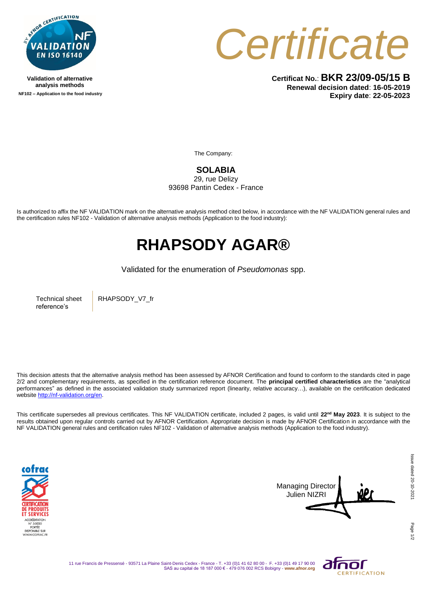

**Validation of alternative analysis methods NF102 – Application to the food industry** *Certificate*

**Certificat No.**: **BKR 23/09-05/15 B Renewal decision dated**: **16-05-2019 Expiry date**: **22-05-2023**

The Company:

**SOLABIA** 

29, rue Delizy 93698 Pantin Cedex - France

Is authorized to affix the NF VALIDATION mark on the alternative analysis method cited below, in accordance with the NF VALIDATION general rules and the certification rules NF102 - Validation of alternative analysis methods (Application to the food industry):

## **RHAPSODY AGAR®**

Validated for the enumeration of *Pseudomonas* spp.

Technical sheet reference's

RHAPSODY\_V7\_fr

This decision attests that the alternative analysis method has been assessed by AFNOR Certification and found to conform to the standards cited in page 2/2 and complementary requirements, as specified in the certification reference document. The **principal certified characteristics** are the "analytical performances" as defined in the associated validation study summarized report (linearity, relative accuracy…), available on the certification dedicated websit[e http://nf-validation.org/en.](http://nf-validation.org/en)

This certificate supersedes all previous certificates. This NF VALIDATION certificate, included 2 pages, is valid until **22nd May 2023**. It is subject to the results obtained upon regular controls carried out by AFNOR Certification. Appropriate decision is made by AFNOR Certification in accordance with the NF VALIDATION general rules and certification rules NF102 - Validation of alternative analysis methods (Application to the food industry).





Page

11 rue Francis de Pressensé - 93571 La Plaine Saint-Denis Cedex - France - T. +33 (0)1 41 62 80 00 - F. +33 (0)1 49 17 90 00 SAS au capital de 18 187 000 € - 479 076 002 RCS Bobigny - **www.afnor.org**